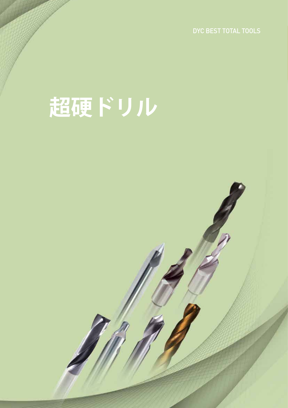DYC BEST TOTAL TOOLS

143 LIST TOOLS DYC

# **超硬ドリル**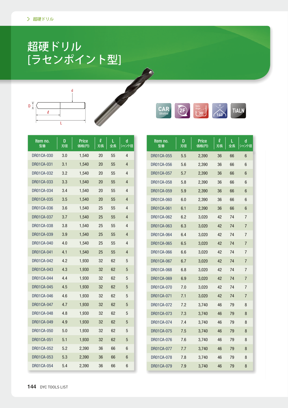### 超硬ドリル [ラセンポイント型]





| Item no.<br>型番    | D<br>刃径 | <b>Price</b><br>価格(円) | $\boldsymbol{\ell}$<br>刃長 | L<br>全長 | d<br>シャンク径  | ltem no.<br>型番    | D<br>刃径 | <b>Price</b><br><b>価格(円)</b> | $\boldsymbol{\ell}$<br>刃長 | L<br>全長 | d<br>シャンク径     |
|-------------------|---------|-----------------------|---------------------------|---------|-------------|-------------------|---------|------------------------------|---------------------------|---------|----------------|
| DR01CA-030        | 3.0     | 1,540                 | 20                        | 55      | 4           | DR01CA-055        | 5.5     | 2,390                        | 36                        | 66      | 6              |
| DR01CA-031        | 3.1     | 1,540                 | 20                        | 55      | 4           | DR01CA-056        | 5.6     | 2,390                        | 36                        | 66      | 6              |
| DR01CA-032        | 3.2     | 1,540                 | 20                        | 55      | 4           | DR01CA-057        | 5.7     | 2,390                        | 36                        | 66      | 6              |
| DR01CA-033        | 3.3     | 1,540                 | 20                        | 55      | 4           | DR01CA-058        | 5.8     | 2,390                        | 36                        | 66      | 6              |
| DR01CA-034        | 3.4     | 1,540                 | 20                        | 55      | 4           | DR01CA-059        | 5.9     | 2,390                        | 36                        | 66      | 6              |
| DR01CA-035        | 3.5     | 1,540                 | 20                        | 55      | 4           | DR01CA-060        | 6.0     | 2,390                        | 36                        | 66      | 6              |
| DR01CA-036        | 3.6     | 1,540                 | 25                        | 55      | 4           | DR01CA-061        | 6.1     | 2,390                        | 36                        | 66      | 6              |
| DR01CA-037        | 3.7     | 1,540                 | 25                        | 55      | 4           | DR01CA-062        | 6.2     | 3,020                        | 42                        | 74      | 7              |
| DR01CA-038        | 3.8     | 1,540                 | 25                        | 55      | 4           | DR01CA-063        | 6.3     | 3,020                        | 42                        | 74      | $\overline{7}$ |
| DR01CA-039        | 3.9     | 1,540                 | 25                        | 55      | 4           | DR01CA-064        | 6.4     | 3,020                        | 42                        | 74      | $\overline{7}$ |
| DR01CA-040        | 4.0     | 1,540                 | 25                        | 55      | 4           | DR01CA-065        | 6.5     | 3,020                        | 42                        | 74      | 7              |
| DR01CA-041        | 4.1     | 1,540                 | 25                        | 55      | 4           | DR01CA-066        | 6.6     | 3,020                        | 42                        | 74      | $\overline{7}$ |
| <b>DR01CA-042</b> | 4.2     | 1,930                 | 32                        | 62      | 5           | DR01CA-067        | 6.7     | 3,020                        | 42                        | 74      | $\overline{7}$ |
| DR01CA-043        | 4.3     | 1,930                 | 32                        | 62      | $\sqrt{5}$  | DR01CA-068        | 6.8     | 3,020                        | 42                        | 74      | $\overline{7}$ |
| DR01CA-044        | 4.4     | 1,930                 | 32                        | 62      | 5           | DR01CA-069        | 6.9     | 3,020                        | 42                        | 74      | $\overline{7}$ |
| DR01CA-045        | 4.5     | 1,930                 | 32                        | 62      | 5           | DR01CA-070        | 7.0     | 3,020                        | 42                        | 74      | $\overline{7}$ |
| <b>DR01CA-046</b> | 4.6     | 1,930                 | 32                        | 62      | $\mathbf 5$ | DR01CA-071        | 7.1     | 3,020                        | 42                        | 74      | $\overline{7}$ |
| DR01CA-047        | 4.7     | 1,930                 | 32                        | 62      | $\sqrt{5}$  | DR01CA-072        | 7.2     | 3,740                        | 46                        | 79      | 8              |
| DR01CA-048        | 4.8     | 1,930                 | 32                        | 62      | 5           | DR01CA-073        | 7.3     | 3,740                        | 46                        | 79      | 8              |
| DR01CA-049        | 4.9     | 1,930                 | 32                        | 62      | 5           | DR01CA-074        | 7.4     | 3,740                        | 46                        | 79      | 8              |
| DR01CA-050        | 5.0     | 1,930                 | 32                        | 62      | 5           | DR01CA-075        | 7.5     | 3,740                        | 46                        | 79      | 8              |
| DR01CA-051        | 5.1     | 1,930                 | 32                        | 62      | $\sqrt{5}$  | DR01CA-076        | 7.6     | 3,740                        | 46                        | 79      | 8              |
| DR01CA-052        | 5.2     | 2,390                 | 36                        | 66      | 6           | DR01CA-077        | 7.7     | 3,740                        | 46                        | 79      | 8              |
| DR01CA-053        | 5.3     | 2,390                 | 36                        | 66      | 6           | <b>DR01CA-078</b> | 7.8     | 3,740                        | 46                        | 79      | 8              |
| DR01CA-054        | 5.4     | 2,390                 | 36                        | 66      | 6           | DR01CA-079        | 7.9     | 3,740                        | 46                        | 79      | 8              |

Charles Construction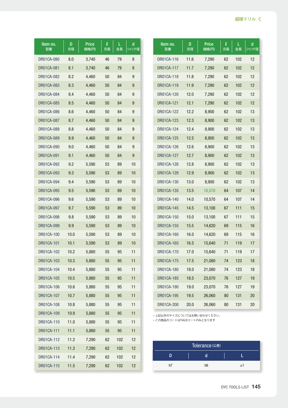| Item no.   | D    | <b>Price</b> | $\boldsymbol{\ell}$ | L   | d     | Item no.                   | D    | <b>Price</b>   | $\boldsymbol{\ell}$ | L   | d      |
|------------|------|--------------|---------------------|-----|-------|----------------------------|------|----------------|---------------------|-----|--------|
| 型番         | 刃径   | 価格(円)        | 刃長                  | 全長  | シャンク径 | 型番                         | 刃径   | <b>価格(円)</b>   | 刃長                  | 全長  | シャンク径  |
| DR01CA-080 | 8.0  | 3,740        | 46                  | 79  | 8     | DR01CA-116                 | 11.6 | 7,290          | 62                  | 102 | 12     |
| DR01CA-081 | 8.1  | 3,740        | 46                  | 79  | 8     | DR01CA-117                 | 11.7 | 7,290          | 62                  | 102 | 12     |
| DR01CA-082 | 8.2  | 4,460        | 50                  | 84  | 9     | DR01CA-118                 | 11.8 | 7,290          | 62                  | 102 | 12     |
| DR01CA-083 | 8.3  | 4,460        | 50                  | 84  | 9     | DR01CA-119                 | 11.9 | 7,290          | 62                  | 102 | 12     |
| DR01CA-084 | 8.4  | 4,460        | 50                  | 84  | 9     | DR01CA-120                 | 12.0 | 7,290          | 62                  | 102 | 12     |
| DR01CA-085 | 8.5  | 4,460        | 50                  | 84  | 9     | DR01CA-121                 | 12.1 | 7,290          | 62                  | 102 | 12     |
| DR01CA-086 | 8.6  | 4,460        | 50                  | 84  | 9     | DR01CA-122                 | 12.2 | 8,900          | 62                  | 102 | 13     |
| DR01CA-087 | 8.7  | 4,460        | 50                  | 84  | 9     | DR01CA-123                 | 12.3 | 8,900          | 62                  | 102 | 13     |
| DR01CA-088 | 8.8  | 4,460        | 50                  | 84  | 9     | DR01CA-124                 | 12.4 | 8,900          | 62                  | 102 | 13     |
| DR01CA-089 | 8.9  | 4,460        | 50                  | 84  | 9     | DR01CA-125                 | 12.5 | 8,900          | 62                  | 102 | 13     |
| DR01CA-090 | 9.0  | 4,460        | 50                  | 84  | 9     | DR01CA-126                 | 12.6 | 8,900          | 62                  | 102 | 13     |
| DR01CA-091 | 9.1  | 4,460        | 50                  | 84  | 9     | DR01CA-127                 | 12.7 | 8,900          | 62                  | 102 | 13     |
| DR01CA-092 | 9.2  | 5,590        | 53                  | 89  | 10    | DR01CA-128                 | 12.8 | 8,900          | 62                  | 102 | 13     |
| DR01CA-093 | 9.3  | 5,590        | 53                  | 89  | 10    | DR01CA-129                 | 12.9 | 8,900          | 62                  | 102 | 13     |
| DR01CA-094 | 9.4  | 5,590        | 53                  | 89  | 10    | DR01CA-130                 | 13.0 | 8,900          | 62                  | 102 | 13     |
| DR01CA-095 | 9.5  | 5,590        | 53                  | 89  | 10    | DR01CA-135                 | 13.5 | 10,570         | 64                  | 107 | 14     |
| DR01CA-096 | 9.6  | 5,590        | 53                  | 89  | 10    | DR01CA-140                 | 14.0 | 10,570         | 64                  | 107 | 14     |
| DR01CA-097 | 9.7  | 5,590        | 53                  | 89  | 10    | DR01CA-145                 | 14.5 | 13,100         | 67                  | 111 | 15     |
| DR01CA-098 | 9.8  | 5,590        | 53                  | 89  | 10    | DR01CA-150                 | 15.0 | 13,100         | 67                  | 111 | 15     |
| DR01CA-099 | 9.9  | 5,590        | 53                  | 89  | 10    | DR01CA-155                 | 15.5 | 14,620         | 69                  | 115 | 16     |
| DR01CA-100 | 10.0 | 5,590        | 53                  | 89  | 10    | DR01CA-160                 | 16.0 | 14,620         | 69                  | 115 | 16     |
| DR01CA-101 | 10.1 | 5,590        | 53                  | 89  | 10    | DR01CA-165                 | 16.5 | 15,640         | 71                  | 119 | 17     |
| DR01CA-102 | 10.2 | 5,880        | 55                  | 95  | 11    | DR01CA-170                 | 17.0 | 15,640         | 71                  | 119 | 17     |
| DR01CA-103 | 10.3 | 5,880        | 55                  | 95  | 11    | DR01CA-175                 | 17.5 | 21,080         | 74                  | 123 | 18     |
| DR01CA-104 | 10.4 | 5,880        | 55                  | 95  | 11    | DR01CA-180                 | 18.0 | 21,080         | 74                  | 123 | 18     |
| DR01CA-105 | 10.5 | 5,880        | 55                  | 95  | 11    | DR01CA-185                 | 18.5 | 23,070         | 76                  | 127 | 19     |
| DR01CA-106 | 10.6 | 5,880        | 55                  | 95  | 11    | DR01CA-190                 | 19.0 | 23,070         | 76                  | 127 | 19     |
| DR01CA-107 | 10.7 | 5,880        | 55                  | 95  | 11    | DR01CA-195                 | 19.5 | 26,060         | 80                  | 131 | 20     |
| DR01CA-108 | 10.8 | 5,880        | 55                  | 95  | 11    | DR01CA-200                 | 20.0 | 26,060         | 80                  | 131 | $20\,$ |
| DR01CA-109 | 10.9 | 5,880        | 55                  | 95  | 11    | • 上記以外のサイズについてはお問い合わせください。 |      |                |                     |     |        |
| DR01CA-110 | 11.0 | 5,880        | 55                  | 95  | 11    | ・この商品のコートはTiALNコートのみとなります  |      |                |                     |     |        |
| DR01CA-111 | 11.1 | 5,880        | 55                  | 95  | 11    |                            |      |                |                     |     |        |
| DR01CA-112 | 11.2 | 7,290        | 62                  | 102 | 12    |                            |      |                |                     |     |        |
| DR01CA-113 | 11.3 | 7,290        | 62                  | 102 | 12    |                            |      | Tolerance (公差) |                     |     |        |
| DR01CA-114 | 11.4 | 7,290        | 62                  | 102 | 12    | D                          |      | $\mathsf{d}$   |                     | L   |        |
| DR01CA-115 | 11.5 | 7,290        | 62                  | 102 | 12    | h7                         |      | h6             |                     | ±1  |        |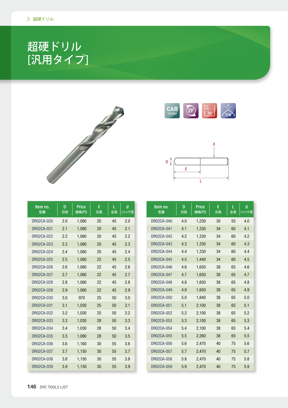### 超硬ドリル [汎用タイプ]







| Item no.<br>型番    | D<br>刃径 | <b>Price</b><br>価格(円) | $\boldsymbol{\ell}$<br>刃長 | L<br>全長 | d<br>シャンク径 |         |
|-------------------|---------|-----------------------|---------------------------|---------|------------|---------|
| DR02CA-020        | 2.0     | 1,080                 | 20                        | 45      | 2.0        | DR02CA- |
| DR02CA-021        | 2.1     | 1,080                 | 20                        | 45      | 2.1        | DR02CA- |
| DR02CA-022        | 2.2     | 1,080                 | 20                        | 45      | 2.2        | DR02CA- |
| <b>DR02CA-023</b> | 2.3     | 1,080                 | 20                        | 45      | 2.3        | DR02CA- |
| DR02CA-024        | 2.4     | 1,080                 | 20                        | 45      | 2.4        | DR02CA- |
| <b>DR02CA-025</b> | 2.5     | 1,080                 | 22                        | 45      | 2.5        | DR02CA- |
| DR02CA-026        | 2.6     | 1,080                 | 22                        | 45      | 2.6        | DR02CA- |
| <b>DR02CA-027</b> | 2.7     | 1,080                 | 22                        | 45      | 2.7        | DR02CA- |
| DR02CA-028        | 2.8     | 1,080                 | 22                        | 45      | 2.8        | DR02CA- |
| DR02CA-029        | 2.9     | 1,080                 | 22                        | 45      | 2.9        | DR02CA- |
| <b>DR02CA-030</b> | 3.0     | 970                   | 25                        | 50      | 3.0        | DR02CA- |
| DR02CA-031        | 3.1     | 1,030                 | 25                        | 50      | 3.1        | DR02CA- |
| <b>DR02CA-032</b> | 3.2     | 1,030                 | 25                        | 50      | 3.2        | DR02CA- |
| <b>DR02CA-033</b> | 3.3     | 1,030                 | 28                        | 50      | 3.3        | DR02CA- |
| <b>DR02CA-034</b> | 3.4     | 1,030                 | 28                        | 50      | 3.4        | DR02CA- |
| <b>DR02CA-035</b> | 3.5     | 1,080                 | 28                        | 50      | 3.5        | DR02CA- |
| <b>DR02CA-036</b> | 3.6     | 1,160                 | 30                        | 55      | 3.6        | DR02CA- |
| DR02CA-037        | 3.7     | 1,150                 | 30                        | 55      | 3.7        | DR02CA- |
| DR02CA-038        | 3.8     | 1,150                 | 30                        | 55      | 3.8        | DR02CA- |
| <b>DR02CA-039</b> | 3.9     | 1,150                 | 30                        | 55      | 3.9        | DR02CA- |

| Item no.<br>型番    | D<br>刃径 | <b>Price</b><br>価格(円) | $\boldsymbol{\varrho}$<br>刃長 | L<br>全長 | d<br>シャンク径 |
|-------------------|---------|-----------------------|------------------------------|---------|------------|
| DR02CA-040        | 4.0     | 1,230                 | 30                           | 55      | 4.0        |
| <b>DR02CA-041</b> | 4.1     | 1,330                 | 34                           | 60      | 4.1        |
| DR02CA-042        | 4.2     | 1,330                 | 34                           | 60      | 4.2        |
| DR02CA-043        | 4.3     | 1,330                 | 34                           | 60      | 4.3        |
| DR02CA-044        | 4.4     | 1,330                 | 34                           | 60      | 4.4        |
| <b>DR02CA-045</b> | 4.5     | 1,440                 | 34                           | 60      | 4.5        |
| DR02CA-046        | 4.6     | 1,650                 | 38                           | 65      | 4.6        |
| <b>DR02CA-047</b> | 4.7     | 1,650                 | 38                           | 65      | 4.7        |
| DR02CA-048        | 4.8     | 1,650                 | 38                           | 65      | 4.8        |
| <b>DR02CA-049</b> | 4.9     | 1,650                 | 38                           | 65      | 4.9        |
| <b>DR02CA-050</b> | 5.0     | 1,840                 | 38                           | 65      | 5.0        |
| <b>DR02CA-051</b> | 5.1     | 2,100                 | 38                           | 65      | 5.1        |
| <b>DR02CA-052</b> | 5.2     | 2,100                 | 38                           | 65      | 5.2        |
| <b>DR02CA-053</b> | 5.3     | 2,100                 | 38                           | 65      | 5.3        |
| DR02CA-054        | 5.4     | 2,100                 | 38                           | 65      | 5.4        |
| <b>DR02CA-055</b> | 5.5     | 2,260                 | 38                           | 65      | 5.5        |
| <b>DR02CA-056</b> | 5.6     | 2,470                 | 40                           | 75      | 5.6        |
| <b>DR02CA-057</b> | 5.7     | 2,470                 | 40                           | 75      | 5.7        |
| <b>DR02CA-058</b> | 5.8     | 2,470                 | 40                           | 75      | 5.8        |
| <b>DR02CA-059</b> | 5.9     | 2,470                 | 40                           | 75      | 5.9        |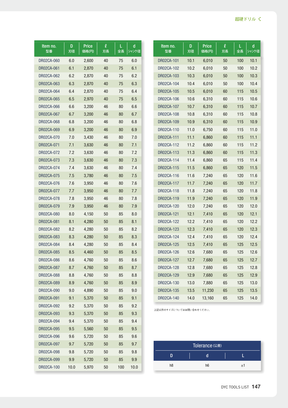| Item no.          | D    | <b>Price</b> | $\boldsymbol{\ell}$ | L.  | d     |
|-------------------|------|--------------|---------------------|-----|-------|
| 型番                | 刃径   | 価格(円)        | 刃長                  | 全長  | シャンク径 |
| DR02CA-060        | 6.0  | 2,600        | 40                  | 75  | 6.0   |
| DR02CA-061        | 6.1  | 2,870        | 40                  | 75  | 6.1   |
| DR02CA-062        | 6.2  | 2,870        | 40                  | 75  | 6.2   |
| DR02CA-063        | 6.3  | 2,870        | 40                  | 75  | 6.3   |
| DR02CA-064        | 6.4  | 2,870        | 40                  | 75  | 6.4   |
| DR02CA-065        | 6.5  | 2,970        | 40                  | 75  | 6.5   |
| DR02CA-066        | 6.6  | 3,200        | 46                  | 80  | 6.6   |
| DR02CA-067        | 6.7  | 3,200        | 46                  | 80  | 6.7   |
| DR02CA-068        | 6.8  | 3,200        | 46                  | 80  | 6.8   |
| DR02CA-069        | 6.9  | 3,200        | 46                  | 80  | 6.9   |
| DR02CA-070        | 7.0  | 3,430        | 46                  | 80  | 7.0   |
| DR02CA-071        | 7.1  | 3,630        | 46                  | 80  | 7.1   |
| DR02CA-072        | 7.2  | 3,630        | 46                  | 80  | 7.2   |
| DR02CA-073        | 7.3  | 3,630        | 46                  | 80  | 7.3   |
| DR02CA-074        | 7.4  | 3,630        | 46                  | 80  | 7.4   |
| DR02CA-075        | 7.5  | 3,780        | 46                  | 80  | 7.5   |
| DR02CA-076        | 7.6  | 3,950        | 46                  | 80  | 7.6   |
| DR02CA-077        | 7.7  | 3,950        | 46                  | 80  | 7.7   |
| DR02CA-078        | 7.8  | 3,950        | 46                  | 80  | 7.8   |
| DR02CA-079        | 7.9  | 3,950        | 46                  | 80  | 7.9   |
| DR02CA-080        | 8.0  | 4,150        | 50                  | 85  | 8.0   |
| DR02CA-081        | 8.1  | 4,280        | 50                  | 85  | 8.1   |
| DR02CA-082        | 8.2  | 4,280        |                     | 85  | 8.2   |
|                   |      |              | 50                  |     |       |
| DR02CA-083        | 8.3  | 4,280        | 50                  | 85  | 8.3   |
| DR02CA-084        | 8.4  | 4,280        | 50                  | 85  | 8.4   |
| <b>DR02CA-085</b> | 8.5  | 4,460        | 50                  | 85  | 8.5   |
| DR02CA-086        | 8.6  | 4,760        | 50                  | 85  | 8.6   |
| DR02CA-087        | 8.7  | 4,760        | 50                  | 85  | 8.7   |
| DR02CA-088        | 8.8  | 4,760        | 50                  | 85  | 8.8   |
| DR02CA-089        | 8.9  | 4,760        | 50                  | 85  | 8.9   |
| DR02CA-090        | 9.0  | 4,890        | 50                  | 85  | 9.0   |
| DR02CA-091        | 9.1  | 5,370        | 50                  | 85  | 9.1   |
| DR02CA-092        | 9.2  | 5,370        | 50                  | 85  | 9.2   |
| DR02CA-093        | 9.3  | 5,370        | 50                  | 85  | 9.3   |
| DR02CA-094        | 9.4  | 5,370        | 50                  | 85  | 9.4   |
| DR02CA-095        | 9.5  | 5,560        | 50                  | 85  | 9.5   |
| DR02CA-096        | 9.6  | 5,720        | 50                  | 85  | 9.6   |
| DR02CA-097        | 9.7  | 5,720        | 50                  | 85  | 9.7   |
| DR02CA-098        | 9.8  | 5,720        | 50                  | 85  | 9.8   |
| DR02CA-099        | 9.9  | 5,720        | 50                  | 85  | 9.9   |
| DR02CA-100        | 10.0 | 5,970        | 50                  | 100 | 10.0  |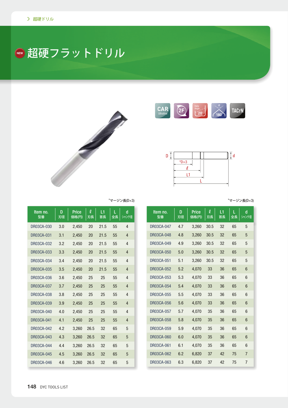### ■超硬フラットドリル







| Item no.<br>型番    | D<br>刃径 | <b>Price</b><br>価格(円) | $\boldsymbol{\varrho}$<br>刃長 | L1<br>首長 | L<br>全長 | d<br>シャンク径 |
|-------------------|---------|-----------------------|------------------------------|----------|---------|------------|
| DR03CA-047        | 4.7     | 3,260                 | 30.5                         | 32       | 65      | 5          |
| DR03CA-048        | 4.8     | 3.260                 | 30.5                         | 32       | 65      | 5          |
| DR03CA-049        | 4.9     | 3,260                 | 30.5                         | 32       | 65      | 5          |
| <b>DR03CA-050</b> | 5.0     | 3.260                 | 30.5                         | 32       | 65      | 5          |
| DR03CA-051        | 5.1     | 3.260                 | 30.5                         | 32       | 65      | 5          |
| <b>DR03CA-052</b> | 5.2     | 4,070                 | 33                           | 36       | 65      | 6          |
| DR03CA-053        | 5.3     | 4.070                 | 33                           | 36       | 65      | 6          |
| <b>DR03CA-054</b> | 5.4     | 4,070                 | 33                           | 36       | 65      | 6          |
| DR03CA-055        | 5.5     | 4.070                 | 33                           | 36       | 65      | 6          |
| DR03CA-056        | 5.6     | 4,070                 | 33                           | 36       | 65      | 6          |
| DR03CA-057        | 5.7     | 4.070                 | 35                           | 36       | 65      | 6          |
| DR03CA-058        | 5.8     | 4.070                 | 35                           | 36       | 65      | 6          |
| DR03CA-059        | 5.9     | 4.070                 | 35                           | 36       | 65      | 6          |
| DR03CA-060        | 6.0     | 4.070                 | 35                           | 36       | 65      | 6          |
| DR03CA-061        | 6.1     | 4,070                 | 35                           | 36       | 65      | 6          |
| DR03CA-062        | 6.2     | 6,820                 | 37                           | 42       | 75      | 7          |
| DR03CA-063        | 6.3     | 6,820                 | 37                           | 42       | 75      | 7          |

 $*$ マージン長(D×3)  $*$ マージン長(D×3)

| ltem no.<br>型番    | D<br>刃径 | Price<br>価格(円) | l<br>刃長 | L1<br>首長 | L<br>全長 | d<br>シャンク径     |
|-------------------|---------|----------------|---------|----------|---------|----------------|
| <b>DR03CA-030</b> | 3.0     | 2,450          | 20      | 21.5     | 55      | 4              |
| <b>DR03CA-031</b> | 3.1     | 2,450          | 20      | 21.5     | 55      | $\overline{4}$ |
| <b>DR03CA-032</b> | 3.2     | 2,450          | 20      | 21.5     | 55      | $\overline{4}$ |
| DR03CA-033        | 3.3     | 2,450          | 20      | 21.5     | 55      | $\overline{4}$ |
| DR03CA-034        | 3.4     | 2,450          | 20      | 21.5     | 55      | 4              |
| <b>DR03CA-035</b> | 3.5     | 2,450          | 20      | 21.5     | 55      | $\overline{4}$ |
| DR03CA-036        | 3.6     | 2,450          | 25      | 25       | 55      | 4              |
| <b>DR03CA-037</b> | 3.7     | 2,450          | 25      | 25       | 55      | $\overline{4}$ |
| DR03CA-038        | 3.8     | 2,450          | 25      | 25       | 55      | 4              |
| DR03CA-039        | 3.9     | 2,450          | 25      | 25       | 55      | $\overline{4}$ |
| DR03CA-040        | 4.0     | 2,450          | 25      | 25       | 55      | 4              |
| DR03CA-041        | 4.1     | 2,450          | 25      | 25       | 55      | 4              |
| DR03CA-042        | 4.2     | 3,260          | 26.5    | 32       | 65      | 5              |
| DR03CA-043        | 4.3     | 3,260          | 26.5    | 32       | 65      | 5              |
| DR03CA-044        | 4.4     | 3,260          | 26.5    | 32       | 65      | 5              |
| DR03CA-045        | 4.5     | 3,260          | 26.5    | 32       | 65      | 5              |
| <b>DR03CA-046</b> | 4.6     | 3,260          | 26.5    | 32       | 65      | 5              |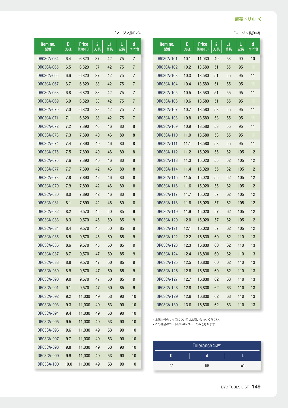#### 超硬ドリルく

#### $\star$ マージン長(D×3)  $\star$

| Item no.<br>型番    | D<br>刃径 | <b>Price</b><br>価格(円) | $\boldsymbol{\ell}$<br>刃長 | L1<br>首長 | L<br>全長 | d<br>シャンク径 |
|-------------------|---------|-----------------------|---------------------------|----------|---------|------------|
| DR03CA-101        | 10.1    | 11,030                | 49                        | 53       | 90      | 10         |
| <b>DR03CA-102</b> | 10.2    | 13,580                | 51                        | 55       | 95      | 11         |
| DR03CA-103        | 10.3    | 13,580                | 51                        | 55       | 95      | 11         |
| DR03CA-104        | 10.4    | 13,580                | 51                        | 55       | 95      | 11         |
| <b>DR03CA-105</b> | 10.5    | 13,580                | 51                        | 55       | 95      | 11         |
| <b>DR03CA-106</b> | 10.6    | 13,580                | 51                        | 55       | 95      | 11         |
| DR03CA-107        | 10.7    | 13,580                | 53                        | 55       | 95      | 11         |
| DR03CA-108        | 10.8    | 13,580                | 53                        | 55       | 95      | 11         |
| DR03CA-109        | 10.9    | 13,580                | 53                        | 55       | 95      | 11         |
| DR03CA-110        | 11.0    | 13,580                | 53                        | 55       | 95      | 11         |
| DR03CA-111        | 11.1    | 13,580                | 53                        | 55       | 95      | 11         |
| <b>DR03CA-112</b> | 11.2    | 15,020                | 55                        | 62       | 105     | 12         |
| DR03CA-113        | 11.3    | 15,020                | 55                        | 62       | 105     | 12         |
| DR03CA-114        | 11.4    | 15,020                | 55                        | 62       | 105     | 12         |
| DR03CA-115        | 11.5    | 15,020                | 55                        | 62       | 105     | 12         |
| DR03CA-116        | 11.6    | 15,020                | 55                        | 62       | 105     | 12         |
| DR03CA-117        | 11.7    | 15,020                | 57                        | 62       | 105     | 12         |
| DR03CA-118        | 11.8    | 15,020                | 57                        | 62       | 105     | 12         |
| DR03CA-119        | 11.9    | 15,020                | 57                        | 62       | 105     | 12         |
| DR03CA-120        | 12.0    | 15,020                | 57                        | 62       | 105     | 12         |
| DR03CA-121        | 12.1    | 15,020                | 57                        | 62       | 105     | 12         |
| DR03CA-122        | 12.2    | 16,830                | 60                        | 62       | 110     | 13         |
| DR03CA-123        | 12.3    | 16,830                | 60                        | 62       | 110     | 13         |
| DR03CA-124        | 12.4    | 16,830                | 60                        | 62       | 110     | 13         |
| DR03CA-125        | 12.5    | 16,830                | 60                        | 62       | 110     | 13         |
| DR03CA-126        | 12.6    | 16,830                | 60                        | 62       | 110     | 13         |
| DR03CA-127        | 12.7    | 16,830                | 62                        | 63       | 110     | 13         |
| DR03CA-128        | 12.8    | 16,830                | 62                        | 63       | 110     | 13         |
| DR03CA-129        | 12.9    | 16,830                | 62                        | 63       | 110     | 13         |
| DR03CA-130        | 13.0    | 16,830                | 62                        | 63       | 110     | 13         |

| ltem no.<br>型番    | D<br>刃径 | Price<br>価格(円) | $\boldsymbol{\varrho}$<br>刃長 | L1<br>首長 | L<br>全長 | d<br>シャンク径 |
|-------------------|---------|----------------|------------------------------|----------|---------|------------|
| DR03CA-064        | 6.4     | 6,820          | 37                           | 42       | 75      | 7          |
| DR03CA-065        | 6.5     | 6,820          | 37                           | 42       | 75      | 7          |
| DR03CA-066        | 6.6     | 6,820          | 37                           | 42       | 75      | 7          |
| DR03CA-067        | 6.7     | 6,820          | 38                           | 42       | 75      | 7          |
| DR03CA-068        | 6.8     | 6,820          | 38                           | 42       | 75      | 7          |
| DR03CA-069        | 6.9     | 6,820          | 38                           | 42       | 75      | 7          |
| DR03CA-070        | 7.0     | 6,820          | 38                           | 42       | 75      | 7          |
| DR03CA-071        | 7.1     | 6,820          | 38                           | 42       | 75      | 7          |
| DR03CA-072        | 7.2     | 7,890          | 40                           | 46       | 80      | 8          |
| <b>DR03CA-073</b> | 7.3     | 7,890          | 40                           | 46       | 80      | 8          |
| DR03CA-074        | 7.4     | 7.890          | 40                           | 46       | 80      | 8          |
| <b>DR03CA-075</b> | 7.5     | 7,890          | 40                           | 46       | 80      | 8          |
| DR03CA-076        | 7.6     | 7,890          | 40                           | 46       | 80      | 8          |
| DR03CA-077        | 7.7     | 7,890          | 42                           | 46       | 80      | 8          |
| DR03CA-078        | 7.8     | 7,890          | 42                           | 46       | 80      | 8          |
| DR03CA-079        | 7.9     | 7,890          | 42                           | 46       | 80      | 8          |
| DR03CA-080        | 8.0     | 7,890          | 42                           | 46       | 80      | 8          |
| DR03CA-081        | 8.1     | 7,890          | 42                           | 46       | 80      | 8          |
| DR03CA-082        | 8.2     | 9,570          | 45                           | 50       | 85      | 9          |
| DR03CA-083        | 8.3     | 9,570          | 45                           | 50       | 85      | 9          |
| DR03CA-084        | 8.4     | 9,570          | 45                           | 50       | 85      | 9          |
| <b>DR03CA-085</b> | 8.5     | 9,570          | 45                           | 50       | 85      | 9          |
| DR03CA-086        | 8.6     | 9,570          | 45                           | 50       | 85      | 9          |
| DR03CA-087        | 8.7     | 9,570          | 47                           | 50       | 85      | 9          |
| <b>DR03CA-088</b> | 8.8     | 9,570          | 47                           | 50       | 85      | 9          |
| DR03CA-089        | 8.9     | 9,570          | 47                           | 50       | 85      | 9          |
| DR03CA-090        | 9.0     | 9,570          | 47                           | 50       | 85      | 9          |
| DR03CA-091        | 9.1     | 9,570          | 47                           | 50       | 85      | 9          |
| DR03CA-092        | 9.2     | 11,030         | 49                           | 53       | 90      | 10         |
| DR03CA-093        | 9.3     | 11,030         | 49                           | 53       | 90      | 10         |
| DR03CA-094        | 9.4     | 11,030         | 49                           | 53       | 90      | 10         |
| DR03CA-095        | 9.5     | 11,030         | 49                           | 53       | 90      | 10         |
| DR03CA-096        | 9.6     | 11,030         | 49                           | 53       | 90      | 10         |
| DR03CA-097        | 9.7     | 11,030         | 49                           | 53       | 90      | 10         |
| DR03CA-098        | 9.8     | 11,030         | 49                           | 53       | 90      | 10         |
| DR03CA-099        | 9.9     | 11,030         | 49                           | 53       | 90      | 10         |
| DR03CA-100        | 10.0    | 11,030         | 49                           | 53       | 90      | 10         |

• 上記以外のサイズについてはお問い合わせください。

この商品のコートはTiALNコートのみとなります•

|    | Tolerance (公差) |      |
|----|----------------|------|
|    |                |      |
| h7 | h6             | $+1$ |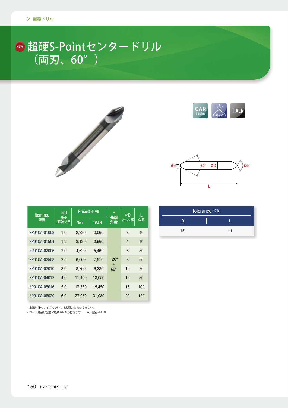#### <u>|■</u> 超硬S-Pointセンタードリル (両刃、60°)







| Item no.     | Φd         | Price価格(円) |              | $\circ$                 | ΦD             | L   |
|--------------|------------|------------|--------------|-------------------------|----------------|-----|
| 型番           | 最小<br>面取り径 | <b>Non</b> | <b>TIALN</b> | 先端<br>角度                | シャンク径          | 全長  |
| SP01CA-01003 | 1.0        | 2,220      | 3,060        |                         | 3              | 40  |
| SP01CA-01504 | 1.5        | 3,120      | 3,960        |                         | $\overline{4}$ | 40  |
| SP01CA-02006 | 2.0        | 4,620      | 5,460        |                         | 6              | 50  |
| SP01CA-02508 | 2.5        | 6.660      | 7,510        | $120^\circ$             | 8              | 60  |
| SP01CA-03010 | 3.0        | 8,260      | 9,230        | $\ddot{}$<br>$60^\circ$ | 10             | 70  |
| SP01CA-04012 | 4.0        | 11,450     | 13,050       |                         | 12             | 80  |
| SP01CA-05016 | 5.0        | 17,350     | 19.450       |                         | 16             | 100 |
| SP01CA-06020 | 6.0        | 27,980     | 31,080       |                         | 20             | 120 |

| Tolerance (公差) |  |    |  |  |  |  |
|----------------|--|----|--|--|--|--|
|                |  |    |  |  |  |  |
| h7             |  | ±1 |  |  |  |  |
|                |  |    |  |  |  |  |

• 上記以外のサイズについてはお問い合わせください。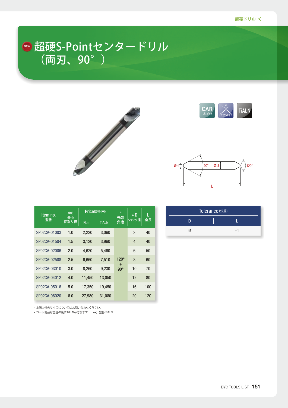#### <u>|■</u> 超硬S-Pointセンタードリル (両刃、90°)







| Item no.     | Φd         | Price価格(円) |              | $\circ$                 | ΦD    | L   |
|--------------|------------|------------|--------------|-------------------------|-------|-----|
| 型番           | 最小<br>面取り径 | <b>Non</b> | <b>TIALN</b> | 先端<br>角度                | シャンク径 | 全長  |
| SP02CA-01003 | 1.0        | 2,220      | 3,060        |                         | 3     | 40  |
| SP02CA-01504 | 1.5        | 3,120      | 3,960        |                         | 4     | 40  |
| SP02CA-02006 | 2.0        | 4,620      | 5,460        |                         | 6     | 50  |
| SP02CA-02508 | 2.5        | 6,660      | 7,510        | $120^\circ$             | 8     | 60  |
| SP02CA-03010 | 3.0        | 8,260      | 9,230        | $\ddot{}$<br>$90^\circ$ | 10    | 70  |
| SP02CA-04012 | 4.0        | 11,450     | 13,050       |                         | 12    | 80  |
| SP02CA-05016 | 5.0        | 17,350     | 19.450       |                         | 16    | 100 |
| SP02CA-06020 | 6.0        | 27,980     | 31.080       |                         | 20    | 120 |

| Tolerance (公差) |  |    |  |  |
|----------------|--|----|--|--|
|                |  |    |  |  |
| h7             |  | ±1 |  |  |

。上記以外のサイズについてはお問い合わせください•

ーニ。<br>- コート商品は型番の後にTiALNが付きます - ex) 型番-TiALN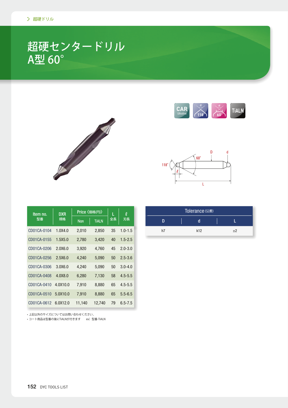### 超硬センタードリル A型 60°







| Item no.             | <b>DXR</b> | Price 〈価格(円)〉 |              | L               | $\boldsymbol{\ell}$ |
|----------------------|------------|---------------|--------------|-----------------|---------------------|
| 型番                   | 規格         | <b>Non</b>    | <b>TiALN</b> | 全長              | 刃長                  |
| CD01CA-0104          | 1.0X4.0    | 2,010         | 2,850        | 35              | $1.0 - 1.5$         |
| CD01CA-0155          | 1.5X5.0    | 2,780         | 3,420        | 40              | $1.5 - 2.5$         |
| CD01CA-0206          | 2.0X6.0    | 3,920         | 4,760        | 45              | $2.0 - 3.0$         |
| CD01CA-0256          | 2.5X6.0    | 4,240         | 5,090        | 50 <sub>2</sub> | $2.5 - 3.6$         |
| CD01CA-0306          | 3.0X6.0    | 4,240         | 5,090        | 50              | $3.0 - 4.0$         |
| CD01CA-0408          | 4.0X8.0    | 6,280         | 7,130        | 58              | $4.5 - 5.5$         |
| CD01CA-0410          | 4.0X10.0   | 7,910         | 8,880        | 65              | $4.5 - 5.5$         |
| CD01CA-0510          | 5.0X10.0   | 7,910         | 8,880        | 65              | $5.5 - 6.5$         |
| CD01CA-0612 6.0X12.0 |            | 11,140        | 12,740       | 79              | $6.5 - 7.5$         |

| Tolerance (公差) |     |      |  |  |  |
|----------------|-----|------|--|--|--|
|                |     |      |  |  |  |
| h7             | k12 | $+2$ |  |  |  |
|                |     |      |  |  |  |

。上記以外のサイズについてはお問い合わせください•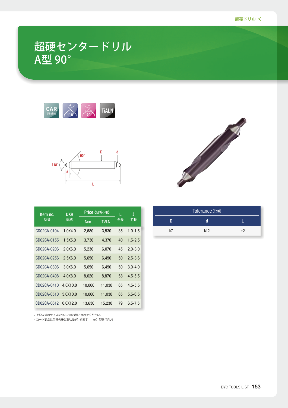### 超硬センタードリル A型 90°





| Item no.    | <b>DXR</b> | Price 〈価格(円)〉 |              |    | $\boldsymbol{\ell}$ |
|-------------|------------|---------------|--------------|----|---------------------|
| 型番          | 規格         | <b>Non</b>    | <b>TiALN</b> | 全長 | 刃長                  |
| CD02CA-0104 | 1.0X4.0    | 2,680         | 3,530        | 35 | $1.0 - 1.5$         |
| CD02CA-0155 | 1.5X5.0    | 3,730         | 4,370        | 40 | $1.5 - 2.5$         |
| CD02CA-0206 | 2.0X6.0    | 5,230         | 6,070        | 45 | $2.0 - 3.0$         |
| CD02CA-0256 | 2.5X6.0    | 5,650         | 6,490        | 50 | $2.5 - 3.6$         |
| CD02CA-0306 | 3.0X6.0    | 5,650         | 6,490        | 50 | $3.0 - 4.0$         |
| CD02CA-0408 | 4.0X8.0    | 8,020         | 8,870        | 58 | $4.5 - 5.5$         |
| CD02CA-0410 | 4.0X10.0   | 10,060        | 11,030       | 65 | $4.5 - 5.5$         |
| CD02CA-0510 | 5.0X10.0   | 10,060        | 11,030       | 65 | $5.5 - 6.5$         |
| CD02CA-0612 | 6.0X12.0   | 13,630        | 15,230       | 79 | $6.5 - 7.5$         |

。上記以外のサイズについてはお問い合わせください•



| Tolerance (公差) |     |      |  |  |
|----------------|-----|------|--|--|
|                |     |      |  |  |
| h7             | k12 | $+2$ |  |  |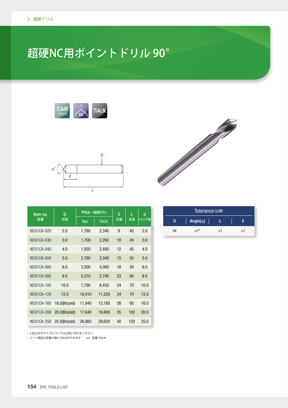# 超硬NC用ポイントドリル 90°





| Item no.          | D            | Price <価格(円)> |              | $\boldsymbol{\varrho}$ | L   | d     |
|-------------------|--------------|---------------|--------------|------------------------|-----|-------|
| 型番                | 刃径           | <b>Non</b>    | <b>TiALN</b> | 刃長                     | 全長  | シャンク径 |
| <b>NC01CA-020</b> | 2.0          | 1,780         | 2,340        | 8                      | 40  | 2.0   |
| <b>NC01CA-030</b> | 3.0          | 1,700         | 2,260        | 10                     | 45  | 3.0   |
| <b>NC01CA-040</b> | 4.0          | 1,920         | 2,480        | 12                     | 45  | 4.0   |
| <b>NC01CA-050</b> | 5.0          | 2,780         | 3,340        | 15                     | 50  | 5.0   |
| <b>NC01CA-060</b> | 6.0          | 3,500         | 4,060        | 18                     | 50  | 6.0   |
| <b>NC01CA-080</b> | 8.0          | 5,210         | 5,780        | 23                     | 60  | 8.0   |
| <b>NC01CA-100</b> | 10.0         | 7,790         | 8,430        | 24                     | 70  | 10.0  |
| <b>NC01CA-120</b> | 12.0         | 10,410        | 11,220       | 24                     | 70  | 12.0  |
| <b>NC01CA-160</b> | 16.0(Brazed) | 11,940        | 13,180       | 26                     | 80  | 16.0  |
| <b>NC01CA-200</b> | 20.0(Brazed) | 17,640        | 19,800       | 35                     | 100 | 20.0  |
| <b>NC01CA-250</b> | 25.0(Brazed) | 26,860        | 29,620       | 40                     | 120 | 25.0  |

。上記以外のサイズについてはお問い合わせください•

ーー。<br>- コート商品は型番の後にTiALNが付きます - ex)型番-TiALN



| Tolerance (公差) |                   |      |      |  |  |
|----------------|-------------------|------|------|--|--|
|                | Angle( $\alpha$ ) |      |      |  |  |
| h8             | $+1^{\circ}$      | $+1$ | $+1$ |  |  |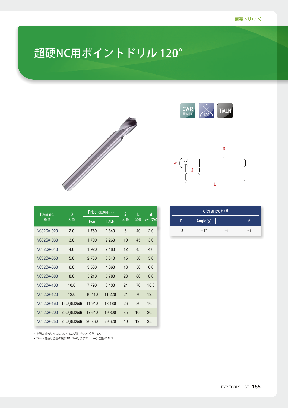## 超硬NC用ポイントドリル 120°



| Item no.          | D            | Price <価格(円)> | l            | L  | d   |       |
|-------------------|--------------|---------------|--------------|----|-----|-------|
| 型番                | 刃径           | <b>Non</b>    | <b>TiALN</b> | 刃長 | 全長  | シャンク径 |
| NC02CA-020        | 2.0          | 1,780         | 2,340        | 8  | 40  | 2.0   |
| NC02CA-030        | 3.0          | 1,700         | 2,260        | 10 | 45  | 3.0   |
| <b>NC02CA-040</b> | 4.0          | 1,920         | 2,480        | 12 | 45  | 4.0   |
| <b>NC02CA-050</b> | 5.0          | 2,780         | 3,340        | 15 | 50  | 5.0   |
| NC02CA-060        | 6.0          | 3,500         | 4,060        | 18 | 50  | 6.0   |
| NC02CA-080        | 8.0          | 5,210         | 5,780        | 23 | 60  | 8.0   |
| NC02CA-100        | 10.0         | 7,790         | 8,430        | 24 | 70  | 10.0  |
| <b>NC02CA-120</b> | 12.0         | 10,410        | 11,220       | 24 | 70  | 12.0  |
| <b>NC02CA-160</b> | 16.0(Brazed) | 11,940        | 13,180       | 26 | 80  | 16.0  |
| <b>NC02CA-200</b> | 20.0(Brazed) | 17,640        | 19,800       | 35 | 100 | 20.0  |
| NC02CA-250        | 25.0(Brazed) | 26,860        | 29,620       | 40 | 120 | 25.0  |

。上記以外のサイズについてはお問い合わせください•





| Tolerance (公差) |                   |      |      |  |  |
|----------------|-------------------|------|------|--|--|
| n              | Angle( $\alpha$ ) |      |      |  |  |
| h8             | $+1^{\circ}$      | $+1$ | $+1$ |  |  |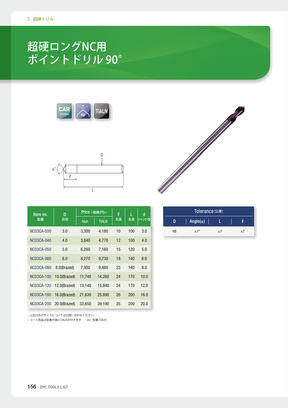### 超硬ロングNC用 90° ポイントドリル





| Item no.          | D            |            | Price <価格(円)> | l  | L   | d     |
|-------------------|--------------|------------|---------------|----|-----|-------|
| 型番                | 刃径           | <b>Non</b> | <b>TiALN</b>  | 刃長 | 全長  | シャンク径 |
| NC03CA-030        | 3.0          | 3,300      | 4,180         | 10 | 100 | 3.0   |
| NC03CA-040        | 4.0          | 3,840      | 4,770         | 12 | 100 | 4.0   |
| NC03CA-050        | 5.0          | 6,260      | 7,160         | 15 | 120 | 5.0   |
| NC03CA-060        | 6.0          | 8,270      | 9,730         | 18 | 140 | 6.0   |
| NC03CA-080        | 8.0(Brazed)  | 7,930      | 9,460         | 23 | 140 | 8.0   |
| <b>NC03CA-100</b> | 10.0(Brazed) | 11,740     | 14,260        | 24 | 170 | 10.0  |
| NC03CA-120        | 12.0(Brazed) | 13,140     | 15,940        | 24 | 170 | 12.0  |
| NC03CA-160        | 16.0(Brazed) | 21,630     | 25,890        | 26 | 200 | 16.0  |
| <b>NC03CA-200</b> | 20.0(Brazed) | 33,650     | 39,190        | 35 | 200 | 20.0  |

| Tolerance (公差) |                   |      |  |      |  |  |  |  |  |  |
|----------------|-------------------|------|--|------|--|--|--|--|--|--|
| D              | Angle( $\alpha$ ) |      |  |      |  |  |  |  |  |  |
| h8             | $+1^{\circ}$      | $+1$ |  | $+1$ |  |  |  |  |  |  |

。上記以外のサイズについてはお問い合わせください•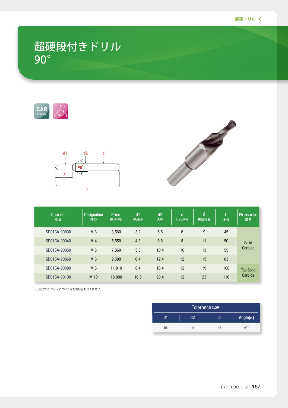#### 超硬段付きドリル 90°







| Item no.<br>型番 | <b>Designation</b><br>呼び | <b>Price</b><br>価格(円) | $d1$<br>先端径 | d2<br>大径 | d<br>シャンク径 | $\boldsymbol{\ell}$<br>先端径長 | 全長  | <b>Remarks</b><br>備考 |
|----------------|--------------------------|-----------------------|-------------|----------|------------|-----------------------------|-----|----------------------|
| SD01CA-90030   | M <sub>3</sub>           | 3,560                 | 3.2         | 6.5      | 6          | 9                           | 45  |                      |
| SD01CA-90040   | M <sub>4</sub>           | 5,550                 | 4.3         | 8.6      | 8          | 11                          | 50  | <b>Solid</b>         |
| SD01CA-90050   | M <sub>5</sub>           | 7,360                 | 5.3         | 10.4     | 10         | 13                          | 55  | Carbide              |
| SD01CA-90060   | M 6                      | 9,890                 | 6.4         | 12.4     | 12         | 15                          | 63  |                      |
| SD01CA-90080   | M8                       | 11,910                | 8.4         | 16.4     | 12         | 19                          | 100 | <b>Top Solid</b>     |
| SD01CA-90100   | M 10                     | 18,800                | 10.5        | 20.4     | 12         | 23                          | 110 | Carbide              |

。上記以外のサイズについてはお問い合わせください•

| Tolerance (公差) |                              |    |     |  |  |  |  |  |  |  |  |
|----------------|------------------------------|----|-----|--|--|--|--|--|--|--|--|
| d1             | Angle( $\alpha$ )<br>d2<br>a |    |     |  |  |  |  |  |  |  |  |
| h8             | h9                           | h8 | ±1° |  |  |  |  |  |  |  |  |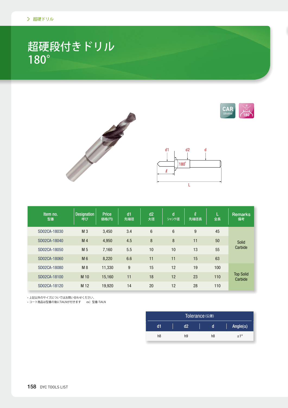#### 超硬段付きドリル 180°





| Item no.<br>型番 | <b>Designation</b><br>呼び | <b>Price</b><br>価格(円) | dd1<br>先端径 | d2<br>大径       | $\mathbf d$<br>シャンク径 | $\ell$<br>先端径長 | Ĺ<br>全長 | Remarks<br>備考               |
|----------------|--------------------------|-----------------------|------------|----------------|----------------------|----------------|---------|-----------------------------|
| SD02CA-18030   | M <sub>3</sub>           | 3,450                 | 3.4        | $6\phantom{1}$ | $6\phantom{1}$       | 9              | 45      |                             |
| SD02CA-18040   | M <sub>4</sub>           | 4,950                 | 4.5        | 8              | 8                    | 11             | 50      | <b>Solid</b>                |
| SD02CA-18050   | M <sub>5</sub>           | 7.160                 | 5.5        | 10             | 10                   | 13             | 55      | Carbide                     |
| SD02CA-18060   | M <sub>6</sub>           | 8,220                 | 6.6        | 11             | 11                   | 15             | 63      |                             |
| SD02CA-18080   | M8                       | 11,330                | 9          | 15             | 12                   | 19             | 100     |                             |
| SD02CA-18100   | M 10                     | 15,160                | 11         | 18             | 12                   | 23             | 110     | <b>Top Solid</b><br>Carbide |
| SD02CA-18120   | M 12                     | 19,920                | 14         | 20             | 12                   | 28             | 110     |                             |

。上記以外のサイズについてはお問い合わせください•

| Tolerance (公差) |                              |    |     |  |  |  |  |  |  |  |
|----------------|------------------------------|----|-----|--|--|--|--|--|--|--|
| d1             | Angle( $\alpha$ )<br>d2<br>a |    |     |  |  |  |  |  |  |  |
| h8             | h <sub>9</sub>               | h8 | ±1° |  |  |  |  |  |  |  |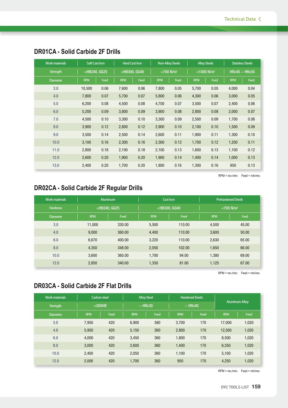| <b>Work materials</b> | <b>Soft Cast Iron</b>                                                                                                                                                                                                                                           |      | <b>Hard Cast Iron</b>                                                                                                                                                                                         |      | <b>Non-Alloy Steels</b>   |      | <b>Alloy Steels</b>        |      | <b>Stainless Steels</b> |      |
|-----------------------|-----------------------------------------------------------------------------------------------------------------------------------------------------------------------------------------------------------------------------------------------------------------|------|---------------------------------------------------------------------------------------------------------------------------------------------------------------------------------------------------------------|------|---------------------------|------|----------------------------|------|-------------------------|------|
| <b>Strength</b>       | <hb240, gg25<="" th=""><th></th><th><hb300, gg40<="" th=""><th></th><th><math>&lt;</math>700 N/mm<sup>2</sup></th><th></th><th colspan="2"><math>&lt;</math>1000 N/mm<sup>2</sup></th><th colspan="2">HRc45 <math>\sim</math> HRc55</th></hb300,></th></hb240,> |      | <hb300, gg40<="" th=""><th></th><th><math>&lt;</math>700 N/mm<sup>2</sup></th><th></th><th colspan="2"><math>&lt;</math>1000 N/mm<sup>2</sup></th><th colspan="2">HRc45 <math>\sim</math> HRc55</th></hb300,> |      | $<$ 700 N/mm <sup>2</sup> |      | $<$ 1000 N/mm <sup>2</sup> |      | HRc45 $\sim$ HRc55      |      |
| <b>Diameter</b>       | <b>RPM</b>                                                                                                                                                                                                                                                      | Feed | <b>RPM</b>                                                                                                                                                                                                    | Feed | <b>RPM</b>                | Feed | <b>RPM</b>                 | Feed | <b>RPM</b>              | Feed |
| 3.0                   | 10,500                                                                                                                                                                                                                                                          | 0.06 | 7,600                                                                                                                                                                                                         | 0.06 | 7,800                     | 0.05 | 5,700                      | 0.05 | 4,000                   | 0.04 |
| 4.0                   | 7,800                                                                                                                                                                                                                                                           | 0.07 | 5,700                                                                                                                                                                                                         | 0.07 | 5,800                     | 0.06 | 4,300                      | 0.06 | 3,000                   | 0.05 |
| 5.0                   | 6,200                                                                                                                                                                                                                                                           | 0.08 | 4,500                                                                                                                                                                                                         | 0.08 | 4,700                     | 0.07 | 3,500                      | 0.07 | 2,400                   | 0.06 |
| 6.0                   | 5,200                                                                                                                                                                                                                                                           | 0.09 | 3,800                                                                                                                                                                                                         | 0.09 | 3,900                     | 0.08 | 2,800                      | 0.08 | 2,000                   | 0.07 |
| 7.0                   | 4,500                                                                                                                                                                                                                                                           | 0.10 | 3,300                                                                                                                                                                                                         | 0.10 | 3,300                     | 0.09 | 2,500                      | 0.09 | 1,700                   | 0.08 |
| 8.0                   | 3,900                                                                                                                                                                                                                                                           | 0.12 | 2,800                                                                                                                                                                                                         | 0.12 | 2,900                     | 0.10 | 2,100                      | 0.10 | 1,500                   | 0.09 |
| 9.0                   | 3,500                                                                                                                                                                                                                                                           | 0.14 | 2,500                                                                                                                                                                                                         | 0.14 | 2,600                     | 0.11 | 1,900                      | 0.11 | 1,300                   | 0.10 |
| 10.0                  | 3,100                                                                                                                                                                                                                                                           | 0.16 | 2,300                                                                                                                                                                                                         | 0.16 | 2,300                     | 0.12 | 1,700                      | 0.12 | 1,200                   | 0.11 |
| 11.0                  | 2,800                                                                                                                                                                                                                                                           | 0.18 | 2,100                                                                                                                                                                                                         | 0.18 | 2,100                     | 0.13 | 1,600                      | 0.13 | 1,100                   | 0.12 |
| 12.0                  | 2,600                                                                                                                                                                                                                                                           | 0.20 | 1,900                                                                                                                                                                                                         | 0.20 | 1,900                     | 0.14 | 1,400                      | 0.14 | 1,000                   | 0.13 |
| 13.0                  | 2,400                                                                                                                                                                                                                                                           | 0.20 | 1,700                                                                                                                                                                                                         | 0.20 | 1,800                     | 0.16 | 1,300                      | 0.16 | 950                     | 0.13 |

#### **DR01CA - Solid Carbide 2F Drills**

 $RPM = rev./min.$  Feed = min/rev.

#### **DR02CA - Solid Carbide 2F Regular Drills**

| <b>Work materials</b> | <b>Aluminum</b>                                                                                                                              |        | <b>Cast Iron</b>                                                                                    |        | <b>Prehardened Steels</b> |       |  |
|-----------------------|----------------------------------------------------------------------------------------------------------------------------------------------|--------|-----------------------------------------------------------------------------------------------------|--------|---------------------------|-------|--|
| <b>Hardness</b>       | <hb240, gg25<="" th=""><th><hb300, gg40<="" th=""><th></th><th colspan="3"><math>&lt;</math>700 N/mm<sup>2</sup></th></hb300,></th></hb240,> |        | <hb300, gg40<="" th=""><th></th><th colspan="3"><math>&lt;</math>700 N/mm<sup>2</sup></th></hb300,> |        | $<$ 700 N/mm <sup>2</sup> |       |  |
| <b>Diameter</b>       | <b>RPM</b><br>Feed                                                                                                                           |        | <b>RPM</b>                                                                                          | Feed   | <b>RPM</b>                | Feed  |  |
| 3.0                   | 11.000                                                                                                                                       | 330.00 | 5,500                                                                                               | 110.00 | 4,500                     | 45.00 |  |
| 4.0                   | 9,000                                                                                                                                        | 360.00 | 4,400                                                                                               | 110.00 | 3,600                     | 50.00 |  |
| 6.0                   | 6,670                                                                                                                                        | 400.00 | 3.220                                                                                               | 110.00 | 2,630                     | 65.00 |  |
| 8.0                   | 4,350                                                                                                                                        | 348.00 | 2,050                                                                                               | 102.00 | 1,650                     | 66.00 |  |
| 10.0                  | 3,600                                                                                                                                        | 360.00 | 1,700                                                                                               | 94.00  | 1,380                     | 69.00 |  |
| 12.0                  | 2,850                                                                                                                                        | 340.00 | 1,350                                                                                               | 81.00  | 1,125                     | 67.00 |  |

 $RPM = rev/min$ . Feed = min/rev.

#### **DR03CA - Solid Carbide 2F Flat Drills**

| <b>Work materials</b> | <b>Carbon steel</b> |      | <b>Alloy Steel</b> |      | <b>Hardened Steels</b> |      | <b>Aluminum Alloy</b> |       |  |
|-----------------------|---------------------|------|--------------------|------|------------------------|------|-----------------------|-------|--|
| <b>Strength</b>       | $<$ 200HB           |      | $~\sim$ HRc30      |      | $~\sim$ HRc40          |      |                       |       |  |
| Diameter              | <b>RPM</b>          | Feed | <b>RPM</b>         | Feed | <b>RPM</b>             | Feed | <b>RPM</b>            | Feed  |  |
| 3.0                   | 7,950               | 420  | 6,900              | 360  | 3,700                  | 170  | 17,000                | 1,020 |  |
| 4.0                   | 5,950               | 420  | 5,150              | 360  | 2,800                  | 170  | 12,500                | 1,020 |  |
| 6.0                   | 4,000               | 420  | 3,450              | 360  | 1,800                  | 170  | 8,500                 | 1,020 |  |
| 8.0                   | 3,000               | 420  | 2,600              | 360  | 1,400                  | 170  | 6,350                 | 1,020 |  |
| 10.0                  | 2,400               | 420  | 2,050              | 360  | 1,100                  | 170  | 5,100                 | 1,020 |  |
| 12.0                  | 2,000               | 420  | 1,700              | 360  | 950                    | 170  | 4,250                 | 1,020 |  |

 $RPM = rev/min$ . Feed = min/rev.